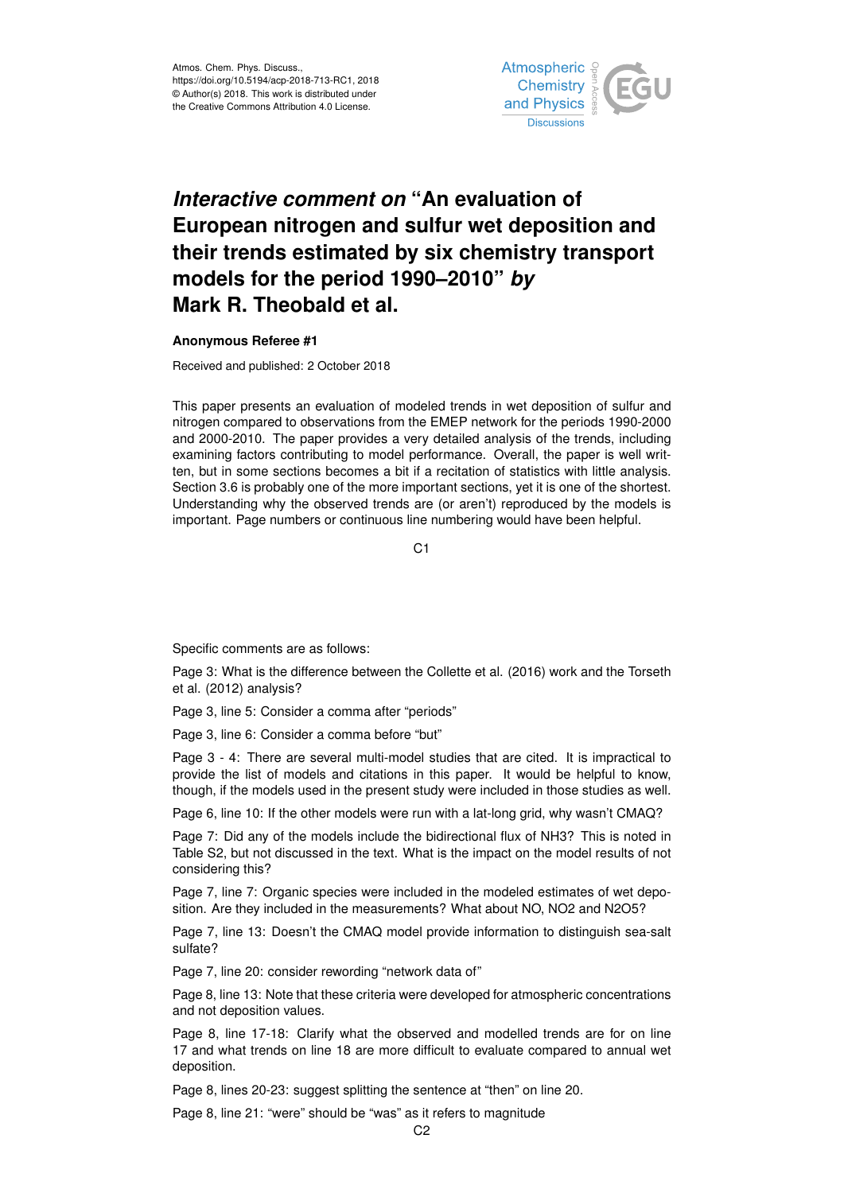

## *Interactive comment on* **"An evaluation of European nitrogen and sulfur wet deposition and their trends estimated by six chemistry transport models for the period 1990–2010"** *by* **Mark R. Theobald et al.**

## **Anonymous Referee #1**

Received and published: 2 October 2018

This paper presents an evaluation of modeled trends in wet deposition of sulfur and nitrogen compared to observations from the EMEP network for the periods 1990-2000 and 2000-2010. The paper provides a very detailed analysis of the trends, including examining factors contributing to model performance. Overall, the paper is well written, but in some sections becomes a bit if a recitation of statistics with little analysis. Section 3.6 is probably one of the more important sections, yet it is one of the shortest. Understanding why the observed trends are (or aren't) reproduced by the models is important. Page numbers or continuous line numbering would have been helpful.

 $C<sub>1</sub>$ 

Specific comments are as follows:

Page 3: What is the difference between the Collette et al. (2016) work and the Torseth et al. (2012) analysis?

Page 3, line 5: Consider a comma after "periods"

Page 3, line 6: Consider a comma before "but"

Page 3 - 4: There are several multi-model studies that are cited. It is impractical to provide the list of models and citations in this paper. It would be helpful to know, though, if the models used in the present study were included in those studies as well.

Page 6, line 10: If the other models were run with a lat-long grid, why wasn't CMAQ?

Page 7: Did any of the models include the bidirectional flux of NH3? This is noted in Table S2, but not discussed in the text. What is the impact on the model results of not considering this?

Page 7, line 7: Organic species were included in the modeled estimates of wet deposition. Are they included in the measurements? What about NO, NO2 and N2O5?

Page 7, line 13: Doesn't the CMAQ model provide information to distinguish sea-salt sulfate?

Page 7, line 20: consider rewording "network data of"

Page 8, line 13: Note that these criteria were developed for atmospheric concentrations and not deposition values.

Page 8, line 17-18: Clarify what the observed and modelled trends are for on line 17 and what trends on line 18 are more difficult to evaluate compared to annual wet deposition.

Page 8, lines 20-23: suggest splitting the sentence at "then" on line 20.

Page 8, line 21: "were" should be "was" as it refers to magnitude